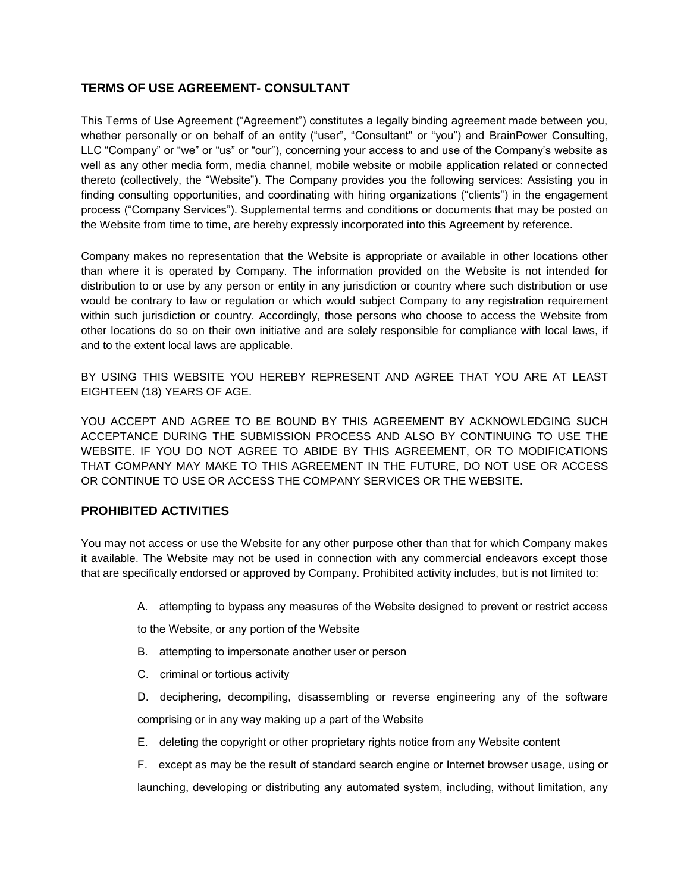# **TERMS OF USE AGREEMENT- CONSULTANT**

This Terms of Use Agreement ("Agreement") constitutes a legally binding agreement made between you, whether personally or on behalf of an entity ("user", "Consultant" or "you") and BrainPower Consulting, LLC "Company" or "we" or "us" or "our"), concerning your access to and use of the Company's website as well as any other media form, media channel, mobile website or mobile application related or connected thereto (collectively, the "Website"). The Company provides you the following services: Assisting you in finding consulting opportunities, and coordinating with hiring organizations ("clients") in the engagement process ("Company Services"). Supplemental terms and conditions or documents that may be posted on the Website from time to time, are hereby expressly incorporated into this Agreement by reference.

Company makes no representation that the Website is appropriate or available in other locations other than where it is operated by Company. The information provided on the Website is not intended for distribution to or use by any person or entity in any jurisdiction or country where such distribution or use would be contrary to law or regulation or which would subject Company to any registration requirement within such jurisdiction or country. Accordingly, those persons who choose to access the Website from other locations do so on their own initiative and are solely responsible for compliance with local laws, if and to the extent local laws are applicable.

BY USING THIS WEBSITE YOU HEREBY REPRESENT AND AGREE THAT YOU ARE AT LEAST EIGHTEEN (18) YEARS OF AGE.

YOU ACCEPT AND AGREE TO BE BOUND BY THIS AGREEMENT BY ACKNOWLEDGING SUCH ACCEPTANCE DURING THE SUBMISSION PROCESS AND ALSO BY CONTINUING TO USE THE WEBSITE. IF YOU DO NOT AGREE TO ABIDE BY THIS AGREEMENT, OR TO MODIFICATIONS THAT COMPANY MAY MAKE TO THIS AGREEMENT IN THE FUTURE, DO NOT USE OR ACCESS OR CONTINUE TO USE OR ACCESS THE COMPANY SERVICES OR THE WEBSITE.

# **PROHIBITED ACTIVITIES**

You may not access or use the Website for any other purpose other than that for which Company makes it available. The Website may not be used in connection with any commercial endeavors except those that are specifically endorsed or approved by Company. Prohibited activity includes, but is not limited to:

A. attempting to bypass any measures of the Website designed to prevent or restrict access

to the Website, or any portion of the Website

- B. attempting to impersonate another user or person
- C. criminal or tortious activity
- D. deciphering, decompiling, disassembling or reverse engineering any of the software comprising or in any way making up a part of the Website
- E. deleting the copyright or other proprietary rights notice from any Website content

F. except as may be the result of standard search engine or Internet browser usage, using or launching, developing or distributing any automated system, including, without limitation, any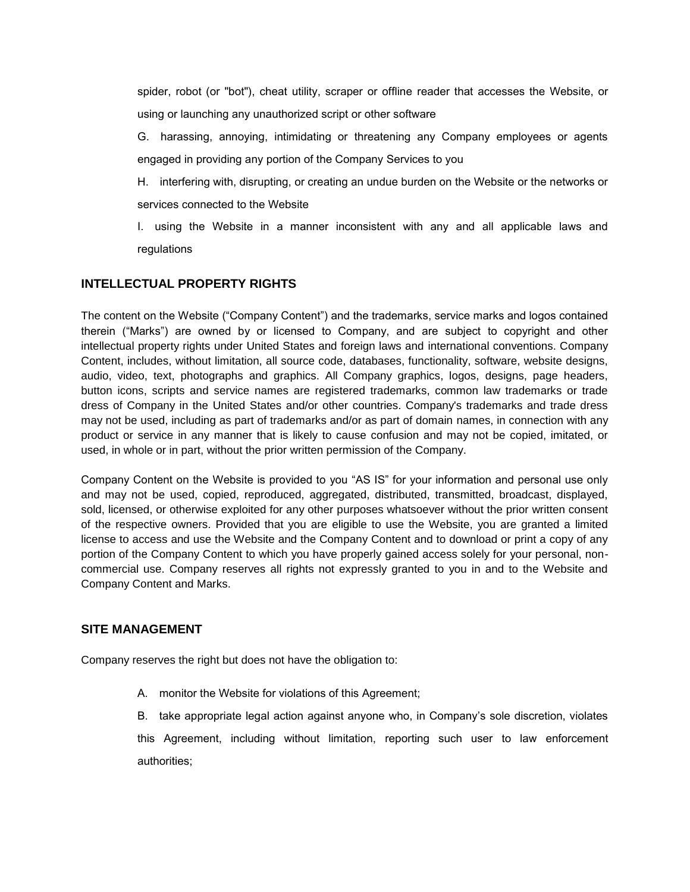spider, robot (or "bot"), cheat utility, scraper or offline reader that accesses the Website, or using or launching any unauthorized script or other software

- G. harassing, annoying, intimidating or threatening any Company employees or agents engaged in providing any portion of the Company Services to you
- H. interfering with, disrupting, or creating an undue burden on the Website or the networks or services connected to the Website
- I. using the Website in a manner inconsistent with any and all applicable laws and regulations

# **INTELLECTUAL PROPERTY RIGHTS**

The content on the Website ("Company Content") and the trademarks, service marks and logos contained therein ("Marks") are owned by or licensed to Company, and are subject to copyright and other intellectual property rights under United States and foreign laws and international conventions. Company Content, includes, without limitation, all source code, databases, functionality, software, website designs, audio, video, text, photographs and graphics. All Company graphics, logos, designs, page headers, button icons, scripts and service names are registered trademarks, common law trademarks or trade dress of Company in the United States and/or other countries. Company's trademarks and trade dress may not be used, including as part of trademarks and/or as part of domain names, in connection with any product or service in any manner that is likely to cause confusion and may not be copied, imitated, or used, in whole or in part, without the prior written permission of the Company.

Company Content on the Website is provided to you "AS IS" for your information and personal use only and may not be used, copied, reproduced, aggregated, distributed, transmitted, broadcast, displayed, sold, licensed, or otherwise exploited for any other purposes whatsoever without the prior written consent of the respective owners. Provided that you are eligible to use the Website, you are granted a limited license to access and use the Website and the Company Content and to download or print a copy of any portion of the Company Content to which you have properly gained access solely for your personal, noncommercial use. Company reserves all rights not expressly granted to you in and to the Website and Company Content and Marks.

### **SITE MANAGEMENT**

Company reserves the right but does not have the obligation to:

A. monitor the Website for violations of this Agreement;

B. take appropriate legal action against anyone who, in Company's sole discretion, violates this Agreement, including without limitation, reporting such user to law enforcement authorities;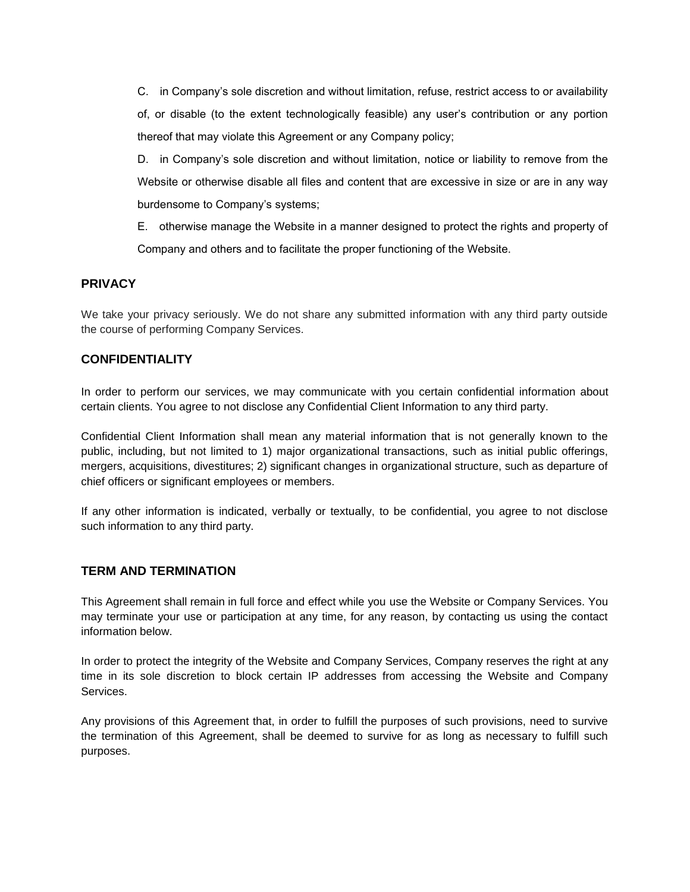C. in Company's sole discretion and without limitation, refuse, restrict access to or availability of, or disable (to the extent technologically feasible) any user's contribution or any portion thereof that may violate this Agreement or any Company policy;

D. in Company's sole discretion and without limitation, notice or liability to remove from the Website or otherwise disable all files and content that are excessive in size or are in any way burdensome to Company's systems;

E. otherwise manage the Website in a manner designed to protect the rights and property of Company and others and to facilitate the proper functioning of the Website.

#### **PRIVACY**

We take your privacy seriously. We do not share any submitted information with any third party outside the course of performing Company Services.

### **CONFIDENTIALITY**

In order to perform our services, we may communicate with you certain confidential information about certain clients. You agree to not disclose any Confidential Client Information to any third party.

Confidential Client Information shall mean any material information that is not generally known to the public, including, but not limited to 1) major organizational transactions, such as initial public offerings, mergers, acquisitions, divestitures; 2) significant changes in organizational structure, such as departure of chief officers or significant employees or members.

If any other information is indicated, verbally or textually, to be confidential, you agree to not disclose such information to any third party.

#### **TERM AND TERMINATION**

This Agreement shall remain in full force and effect while you use the Website or Company Services. You may terminate your use or participation at any time, for any reason, by contacting us using the contact information below.

In order to protect the integrity of the Website and Company Services, Company reserves the right at any time in its sole discretion to block certain IP addresses from accessing the Website and Company Services.

Any provisions of this Agreement that, in order to fulfill the purposes of such provisions, need to survive the termination of this Agreement, shall be deemed to survive for as long as necessary to fulfill such purposes.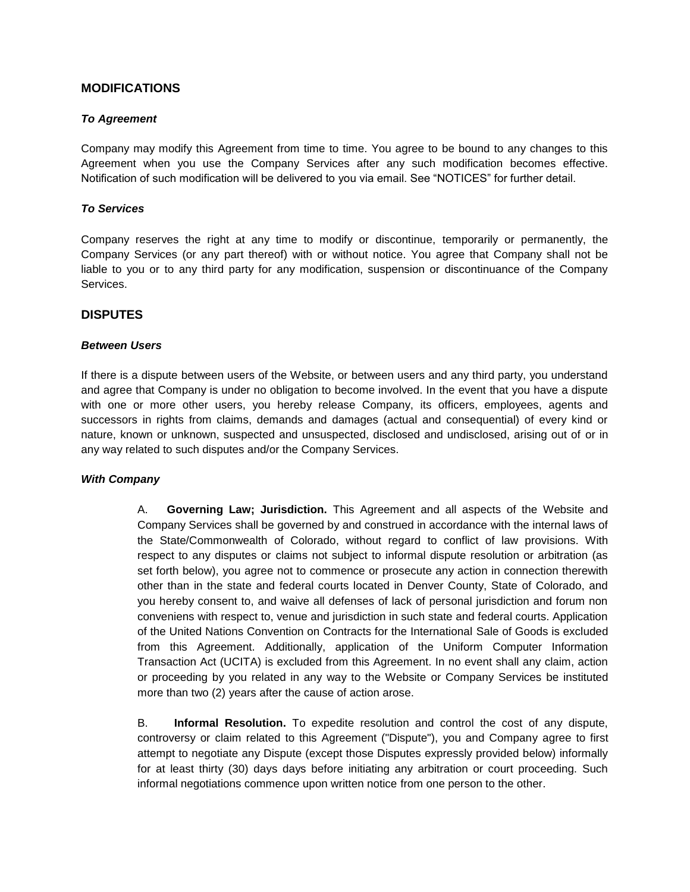## **MODIFICATIONS**

#### *To Agreement*

Company may modify this Agreement from time to time. You agree to be bound to any changes to this Agreement when you use the Company Services after any such modification becomes effective. Notification of such modification will be delivered to you via email. See "NOTICES" for further detail.

#### *To Services*

Company reserves the right at any time to modify or discontinue, temporarily or permanently, the Company Services (or any part thereof) with or without notice. You agree that Company shall not be liable to you or to any third party for any modification, suspension or discontinuance of the Company Services.

### **DISPUTES**

#### *Between Users*

If there is a dispute between users of the Website, or between users and any third party, you understand and agree that Company is under no obligation to become involved. In the event that you have a dispute with one or more other users, you hereby release Company, its officers, employees, agents and successors in rights from claims, demands and damages (actual and consequential) of every kind or nature, known or unknown, suspected and unsuspected, disclosed and undisclosed, arising out of or in any way related to such disputes and/or the Company Services.

#### *With Company*

A. **Governing Law; Jurisdiction.** This Agreement and all aspects of the Website and Company Services shall be governed by and construed in accordance with the internal laws of the State/Commonwealth of Colorado, without regard to conflict of law provisions. With respect to any disputes or claims not subject to informal dispute resolution or arbitration (as set forth below), you agree not to commence or prosecute any action in connection therewith other than in the state and federal courts located in Denver County, State of Colorado, and you hereby consent to, and waive all defenses of lack of personal jurisdiction and forum non conveniens with respect to, venue and jurisdiction in such state and federal courts. Application of the United Nations Convention on Contracts for the International Sale of Goods is excluded from this Agreement. Additionally, application of the Uniform Computer Information Transaction Act (UCITA) is excluded from this Agreement. In no event shall any claim, action or proceeding by you related in any way to the Website or Company Services be instituted more than two (2) years after the cause of action arose.

B. **Informal Resolution.** To expedite resolution and control the cost of any dispute, controversy or claim related to this Agreement ("Dispute"), you and Company agree to first attempt to negotiate any Dispute (except those Disputes expressly provided below) informally for at least thirty (30) days days before initiating any arbitration or court proceeding. Such informal negotiations commence upon written notice from one person to the other.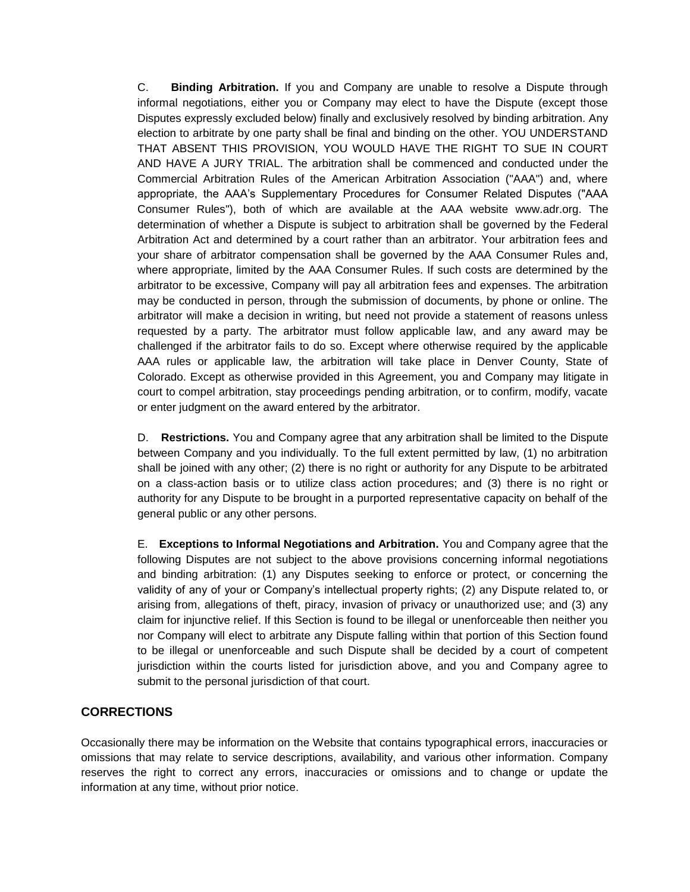C. **Binding Arbitration.** If you and Company are unable to resolve a Dispute through informal negotiations, either you or Company may elect to have the Dispute (except those Disputes expressly excluded below) finally and exclusively resolved by binding arbitration. Any election to arbitrate by one party shall be final and binding on the other. YOU UNDERSTAND THAT ABSENT THIS PROVISION, YOU WOULD HAVE THE RIGHT TO SUE IN COURT AND HAVE A JURY TRIAL. The arbitration shall be commenced and conducted under the Commercial Arbitration Rules of the American Arbitration Association ("AAA") and, where appropriate, the AAA's Supplementary Procedures for Consumer Related Disputes ("AAA Consumer Rules"), both of which are available at the AAA website www.adr.org. The determination of whether a Dispute is subject to arbitration shall be governed by the Federal Arbitration Act and determined by a court rather than an arbitrator. Your arbitration fees and your share of arbitrator compensation shall be governed by the AAA Consumer Rules and, where appropriate, limited by the AAA Consumer Rules. If such costs are determined by the arbitrator to be excessive, Company will pay all arbitration fees and expenses. The arbitration may be conducted in person, through the submission of documents, by phone or online. The arbitrator will make a decision in writing, but need not provide a statement of reasons unless requested by a party. The arbitrator must follow applicable law, and any award may be challenged if the arbitrator fails to do so. Except where otherwise required by the applicable AAA rules or applicable law, the arbitration will take place in Denver County, State of Colorado. Except as otherwise provided in this Agreement, you and Company may litigate in court to compel arbitration, stay proceedings pending arbitration, or to confirm, modify, vacate or enter judgment on the award entered by the arbitrator.

D. **Restrictions.** You and Company agree that any arbitration shall be limited to the Dispute between Company and you individually. To the full extent permitted by law, (1) no arbitration shall be joined with any other; (2) there is no right or authority for any Dispute to be arbitrated on a class-action basis or to utilize class action procedures; and (3) there is no right or authority for any Dispute to be brought in a purported representative capacity on behalf of the general public or any other persons.

E. **Exceptions to Informal Negotiations and Arbitration.** You and Company agree that the following Disputes are not subject to the above provisions concerning informal negotiations and binding arbitration: (1) any Disputes seeking to enforce or protect, or concerning the validity of any of your or Company's intellectual property rights; (2) any Dispute related to, or arising from, allegations of theft, piracy, invasion of privacy or unauthorized use; and (3) any claim for injunctive relief. If this Section is found to be illegal or unenforceable then neither you nor Company will elect to arbitrate any Dispute falling within that portion of this Section found to be illegal or unenforceable and such Dispute shall be decided by a court of competent jurisdiction within the courts listed for jurisdiction above, and you and Company agree to submit to the personal jurisdiction of that court.

# **CORRECTIONS**

Occasionally there may be information on the Website that contains typographical errors, inaccuracies or omissions that may relate to service descriptions, availability, and various other information. Company reserves the right to correct any errors, inaccuracies or omissions and to change or update the information at any time, without prior notice.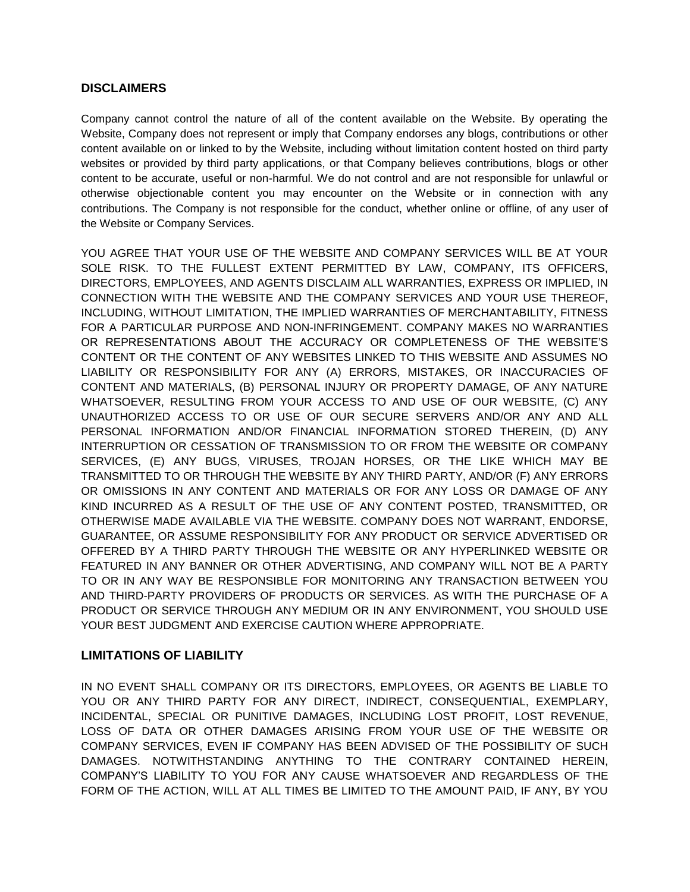## **DISCLAIMERS**

Company cannot control the nature of all of the content available on the Website. By operating the Website, Company does not represent or imply that Company endorses any blogs, contributions or other content available on or linked to by the Website, including without limitation content hosted on third party websites or provided by third party applications, or that Company believes contributions, blogs or other content to be accurate, useful or non-harmful. We do not control and are not responsible for unlawful or otherwise objectionable content you may encounter on the Website or in connection with any contributions. The Company is not responsible for the conduct, whether online or offline, of any user of the Website or Company Services.

YOU AGREE THAT YOUR USE OF THE WEBSITE AND COMPANY SERVICES WILL BE AT YOUR SOLE RISK. TO THE FULLEST EXTENT PERMITTED BY LAW, COMPANY, ITS OFFICERS, DIRECTORS, EMPLOYEES, AND AGENTS DISCLAIM ALL WARRANTIES, EXPRESS OR IMPLIED, IN CONNECTION WITH THE WEBSITE AND THE COMPANY SERVICES AND YOUR USE THEREOF, INCLUDING, WITHOUT LIMITATION, THE IMPLIED WARRANTIES OF MERCHANTABILITY, FITNESS FOR A PARTICULAR PURPOSE AND NON-INFRINGEMENT. COMPANY MAKES NO WARRANTIES OR REPRESENTATIONS ABOUT THE ACCURACY OR COMPLETENESS OF THE WEBSITE'S CONTENT OR THE CONTENT OF ANY WEBSITES LINKED TO THIS WEBSITE AND ASSUMES NO LIABILITY OR RESPONSIBILITY FOR ANY (A) ERRORS, MISTAKES, OR INACCURACIES OF CONTENT AND MATERIALS, (B) PERSONAL INJURY OR PROPERTY DAMAGE, OF ANY NATURE WHATSOEVER, RESULTING FROM YOUR ACCESS TO AND USE OF OUR WEBSITE, (C) ANY UNAUTHORIZED ACCESS TO OR USE OF OUR SECURE SERVERS AND/OR ANY AND ALL PERSONAL INFORMATION AND/OR FINANCIAL INFORMATION STORED THEREIN, (D) ANY INTERRUPTION OR CESSATION OF TRANSMISSION TO OR FROM THE WEBSITE OR COMPANY SERVICES, (E) ANY BUGS, VIRUSES, TROJAN HORSES, OR THE LIKE WHICH MAY BE TRANSMITTED TO OR THROUGH THE WEBSITE BY ANY THIRD PARTY, AND/OR (F) ANY ERRORS OR OMISSIONS IN ANY CONTENT AND MATERIALS OR FOR ANY LOSS OR DAMAGE OF ANY KIND INCURRED AS A RESULT OF THE USE OF ANY CONTENT POSTED, TRANSMITTED, OR OTHERWISE MADE AVAILABLE VIA THE WEBSITE. COMPANY DOES NOT WARRANT, ENDORSE, GUARANTEE, OR ASSUME RESPONSIBILITY FOR ANY PRODUCT OR SERVICE ADVERTISED OR OFFERED BY A THIRD PARTY THROUGH THE WEBSITE OR ANY HYPERLINKED WEBSITE OR FEATURED IN ANY BANNER OR OTHER ADVERTISING, AND COMPANY WILL NOT BE A PARTY TO OR IN ANY WAY BE RESPONSIBLE FOR MONITORING ANY TRANSACTION BETWEEN YOU AND THIRD-PARTY PROVIDERS OF PRODUCTS OR SERVICES. AS WITH THE PURCHASE OF A PRODUCT OR SERVICE THROUGH ANY MEDIUM OR IN ANY ENVIRONMENT, YOU SHOULD USE YOUR BEST JUDGMENT AND EXERCISE CAUTION WHERE APPROPRIATE.

# **LIMITATIONS OF LIABILITY**

IN NO EVENT SHALL COMPANY OR ITS DIRECTORS, EMPLOYEES, OR AGENTS BE LIABLE TO YOU OR ANY THIRD PARTY FOR ANY DIRECT, INDIRECT, CONSEQUENTIAL, EXEMPLARY, INCIDENTAL, SPECIAL OR PUNITIVE DAMAGES, INCLUDING LOST PROFIT, LOST REVENUE, LOSS OF DATA OR OTHER DAMAGES ARISING FROM YOUR USE OF THE WEBSITE OR COMPANY SERVICES, EVEN IF COMPANY HAS BEEN ADVISED OF THE POSSIBILITY OF SUCH DAMAGES. NOTWITHSTANDING ANYTHING TO THE CONTRARY CONTAINED HEREIN, COMPANY'S LIABILITY TO YOU FOR ANY CAUSE WHATSOEVER AND REGARDLESS OF THE FORM OF THE ACTION, WILL AT ALL TIMES BE LIMITED TO THE AMOUNT PAID, IF ANY, BY YOU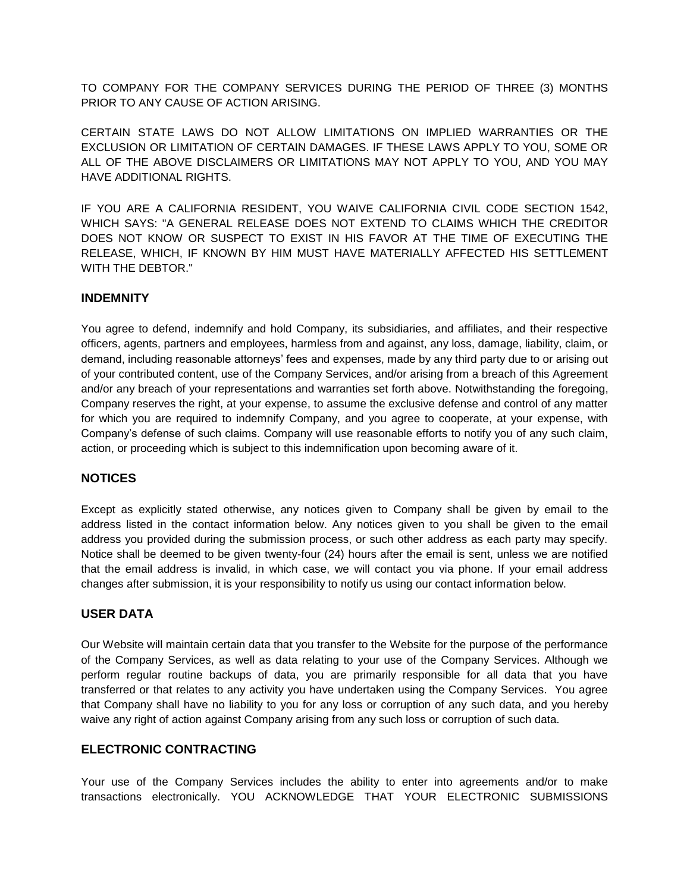TO COMPANY FOR THE COMPANY SERVICES DURING THE PERIOD OF THREE (3) MONTHS PRIOR TO ANY CAUSE OF ACTION ARISING.

CERTAIN STATE LAWS DO NOT ALLOW LIMITATIONS ON IMPLIED WARRANTIES OR THE EXCLUSION OR LIMITATION OF CERTAIN DAMAGES. IF THESE LAWS APPLY TO YOU, SOME OR ALL OF THE ABOVE DISCLAIMERS OR LIMITATIONS MAY NOT APPLY TO YOU, AND YOU MAY HAVE ADDITIONAL RIGHTS.

IF YOU ARE A CALIFORNIA RESIDENT, YOU WAIVE CALIFORNIA CIVIL CODE SECTION 1542, WHICH SAYS: "A GENERAL RELEASE DOES NOT EXTEND TO CLAIMS WHICH THE CREDITOR DOES NOT KNOW OR SUSPECT TO EXIST IN HIS FAVOR AT THE TIME OF EXECUTING THE RELEASE, WHICH, IF KNOWN BY HIM MUST HAVE MATERIALLY AFFECTED HIS SETTLEMENT WITH THE DEBTOR."

## **INDEMNITY**

You agree to defend, indemnify and hold Company, its subsidiaries, and affiliates, and their respective officers, agents, partners and employees, harmless from and against, any loss, damage, liability, claim, or demand, including reasonable attorneys' fees and expenses, made by any third party due to or arising out of your contributed content, use of the Company Services, and/or arising from a breach of this Agreement and/or any breach of your representations and warranties set forth above. Notwithstanding the foregoing, Company reserves the right, at your expense, to assume the exclusive defense and control of any matter for which you are required to indemnify Company, and you agree to cooperate, at your expense, with Company's defense of such claims. Company will use reasonable efforts to notify you of any such claim, action, or proceeding which is subject to this indemnification upon becoming aware of it.

# **NOTICES**

Except as explicitly stated otherwise, any notices given to Company shall be given by email to the address listed in the contact information below. Any notices given to you shall be given to the email address you provided during the submission process, or such other address as each party may specify. Notice shall be deemed to be given twenty-four (24) hours after the email is sent, unless we are notified that the email address is invalid, in which case, we will contact you via phone. If your email address changes after submission, it is your responsibility to notify us using our contact information below.

# **USER DATA**

Our Website will maintain certain data that you transfer to the Website for the purpose of the performance of the Company Services, as well as data relating to your use of the Company Services. Although we perform regular routine backups of data, you are primarily responsible for all data that you have transferred or that relates to any activity you have undertaken using the Company Services. You agree that Company shall have no liability to you for any loss or corruption of any such data, and you hereby waive any right of action against Company arising from any such loss or corruption of such data.

### **ELECTRONIC CONTRACTING**

Your use of the Company Services includes the ability to enter into agreements and/or to make transactions electronically. YOU ACKNOWLEDGE THAT YOUR ELECTRONIC SUBMISSIONS